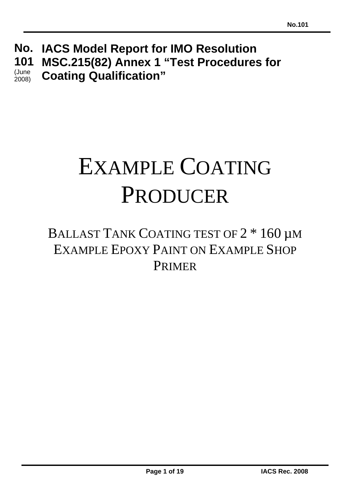**IACS Model Report for IMO Resolution No. MSC.215(82) Annex 1 "Test Procedures for Coating Qualification" 101**  (June 2008)

# EXAMPLE COATING PRODUCER

# BALLAST TANK COATING TEST OF  $2 * 160 \mu$ M EXAMPLE EPOXY PAINT ON EXAMPLE SHOP PRIMER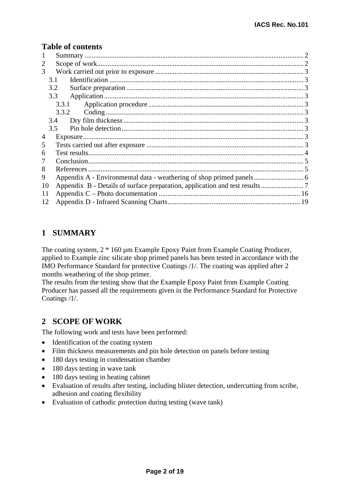#### **Table of contents**

| 1  |       |  |
|----|-------|--|
| 2  |       |  |
| 3  |       |  |
|    | 3.1   |  |
|    | 3.2   |  |
|    | 3.3   |  |
|    | 3.3.1 |  |
|    | 3.3.2 |  |
|    | 3.4   |  |
|    | 3.5   |  |
| 4  |       |  |
| 5  |       |  |
| 6  |       |  |
| 7  |       |  |
| 8  |       |  |
| 9  |       |  |
| 10 |       |  |
| 11 |       |  |
| 12 |       |  |

# **1 SUMMARY**

The coating system,  $2 * 160 \mu m$  Example Epoxy Paint from Example Coating Producer, applied to Example zinc silicate shop primed panels has been tested in accordance with the IMO Performance Standard for protective Coatings /1/. The coating was applied after 2 months weathering of the shop primer.

The results from the testing show that the Example Epoxy Paint from Example Coating Producer has passed all the requirements given in the Performance Standard for Protective Coatings /1/.

# **2 SCOPE OF WORK**

The following work and tests have been performed:

- Identification of the coating system
- Film thickness measurements and pin hole detection on panels before testing
- 180 days testing in condensation chamber
- 180 days testing in wave tank
- 180 days testing in heating cabinet
- Evaluation of results after testing, including blister detection, undercutting from scribe, adhesion and coating flexibility
- Evaluation of cathodic protection during testing (wave tank)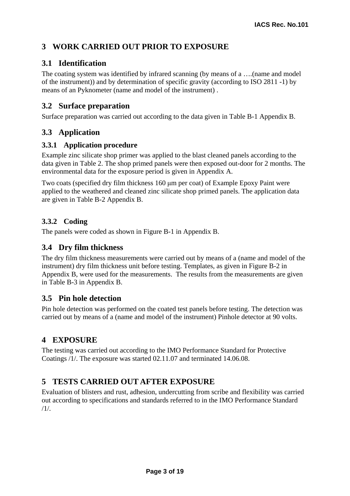# **3 WORK CARRIED OUT PRIOR TO EXPOSURE**

# **3.1 Identification**

The coating system was identified by infrared scanning (by means of a ….(name and model of the instrument)) and by determination of specific gravity (according to ISO 2811 -1) by means of an Pyknometer (name and model of the instrument) .

#### **3.2 Surface preparation**

Surface preparation was carried out according to the data given in Table B-1 Appendix B.

# **3.3 Application**

#### **3.3.1 Application procedure**

Example zinc silicate shop primer was applied to the blast cleaned panels according to the data given in Table 2. The shop primed panels were then exposed out-door for 2 months. The environmental data for the exposure period is given in Appendix A.

Two coats (specified dry film thickness 160 μm per coat) of Example Epoxy Paint were applied to the weathered and cleaned zinc silicate shop primed panels. The application data are given in Table B-2 Appendix B.

# **3.3.2 Coding**

The panels were coded as shown in Figure B-1 in Appendix B.

#### **3.4 Dry film thickness**

The dry film thickness measurements were carried out by means of a (name and model of the instrument) dry film thickness unit before testing. Templates, as given in Figure B-2 in Appendix B, were used for the measurements. The results from the measurements are given in Table B-3 in Appendix B.

# **3.5 Pin hole detection**

Pin hole detection was performed on the coated test panels before testing. The detection was carried out by means of a (name and model of the instrument) Pinhole detector at 90 volts.

# **4 EXPOSURE**

The testing was carried out according to the IMO Performance Standard for Protective Coatings /1/. The exposure was started 02.11.07 and terminated 14.06.08.

# **5 TESTS CARRIED OUT AFTER EXPOSURE**

Evaluation of blisters and rust, adhesion, undercutting from scribe and flexibility was carried out according to specifications and standards referred to in the IMO Performance Standard /1/.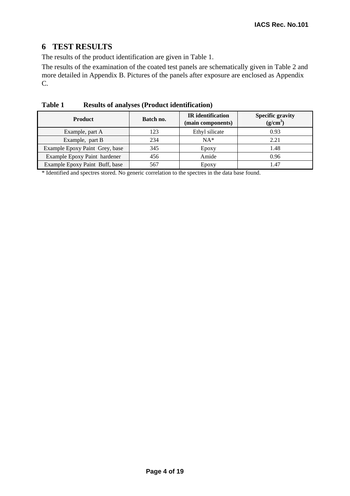# **6 TEST RESULTS**

The results of the product identification are given in Table 1.

The results of the examination of the coated test panels are schematically given in Table 2 and more detailed in Appendix B. Pictures of the panels after exposure are enclosed as Appendix C.

| <b>Product</b>                 | Batch no. | <b>IR</b> identification<br>(main components) | <b>Specific gravity</b><br>$(g/cm^3)$ |
|--------------------------------|-----------|-----------------------------------------------|---------------------------------------|
| Example, part A                | 123       | Ethyl silicate                                | 0.93                                  |
| Example, part B                | 234       | $NA*$                                         | 2.21                                  |
| Example Epoxy Paint Grey, base | 345       | Epoxy                                         | 1.48                                  |
| Example Epoxy Paint hardener   | 456       | Amide                                         | 0.96                                  |
| Example Epoxy Paint Buff, base | 567       | Epoxy                                         | 1.47                                  |

**Table 1 Results of analyses (Product identification)** 

\* Identified and spectres stored. No generic correlation to the spectres in the data base found.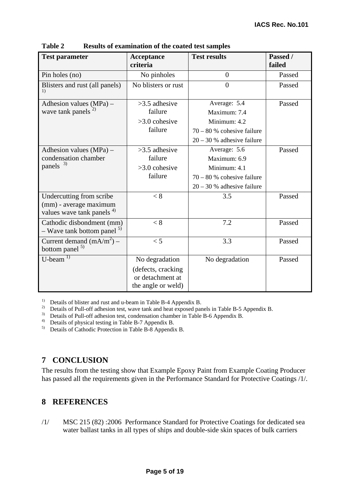| <b>Test parameter</b>                                                                       | Acceptance<br>criteria | <b>Test results</b>          | Passed /<br>failed |
|---------------------------------------------------------------------------------------------|------------------------|------------------------------|--------------------|
| Pin holes (no)                                                                              | No pinholes            | $\overline{0}$               | Passed             |
| Blisters and rust (all panels)<br>1)                                                        | No blisters or rust    | $\theta$                     | Passed             |
| Adhesion values $(MPa)$ –                                                                   | $>3.5$ adhesive        | Average: 5.4                 | Passed             |
| wave tank panels $^{2)}$                                                                    | failure                | Maximum: 7.4                 |                    |
|                                                                                             | $>3.0$ cohesive        | Minimum: 4.2                 |                    |
|                                                                                             | failure                | $70 - 80$ % cohesive failure |                    |
|                                                                                             |                        | $20 - 30$ % adhesive failure |                    |
| Adhesion values $(MPa)$ –                                                                   | $>3.5$ adhesive        | Average: 5.6                 | Passed             |
| condensation chamber                                                                        | failure                | Maximum: 6.9                 |                    |
| panels <sup>3)</sup>                                                                        | $>3.0$ cohesive        | Minimum: 4.1                 |                    |
|                                                                                             | failure                | $70 - 80$ % cohesive failure |                    |
|                                                                                             |                        | $20 - 30$ % adhesive failure |                    |
| Undercutting from scribe<br>(mm) - average maximum<br>values wave tank panels <sup>4)</sup> | < 8                    | 3.5                          | Passed             |
| Cathodic disbondment (mm)<br>- Wave tank bottom panel <sup>5)</sup>                         | < 8                    | 7.2                          | Passed             |
| Current demand $(mA/m2)$ –<br>bottom panel <sup>5)</sup>                                    | < 5                    | 3.3                          | Passed             |
| $U$ -beam <sup>1)</sup>                                                                     | No degradation         | No degradation               | Passed             |
|                                                                                             | (defects, cracking     |                              |                    |
|                                                                                             | or detachment at       |                              |                    |
|                                                                                             | the angle or weld)     |                              |                    |

**Table 2 Results of examination of the coated test samples** 

<sup>1)</sup> Details of blister and rust and u-beam in Table B-4 Appendix B.

<sup>2)</sup> Details of Pull-off adhesion test, wave tank and heat exposed panels in Table B-5 Appendix B.

<sup>3)</sup> Details of Pull-off adhesion test, condensation chamber in Table B-6 Appendix B.

4) Details of physical testing in Table B-7 Appendix B.

5) Details of Cathodic Protection in Table B-8 Appendix B.

# **7 CONCLUSION**

The results from the testing show that Example Epoxy Paint from Example Coating Producer has passed all the requirements given in the Performance Standard for Protective Coatings /1/.

# **8 REFERENCES**

/1/ MSC 215 (82) :2006 Performance Standard for Protective Coatings for dedicated sea water ballast tanks in all types of ships and double-side skin spaces of bulk carriers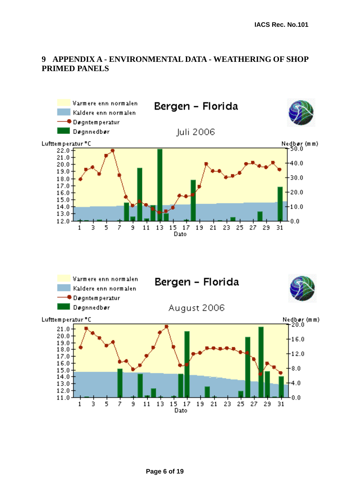# **9 APPENDIX A - ENVIRONMENTAL DATA - WEATHERING OF SHOP PRIMED PANELS**

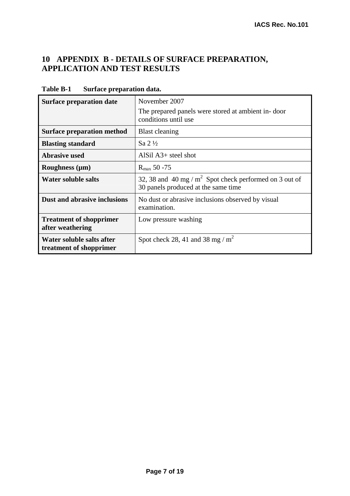# **10 APPENDIX B - DETAILS OF SURFACE PREPARATION, APPLICATION AND TEST RESULTS**

| <b>Surface preparation date</b>                      | November 2007<br>The prepared panels were stored at ambient in-door<br>conditions until use      |
|------------------------------------------------------|--------------------------------------------------------------------------------------------------|
| <b>Surface preparation method</b>                    | <b>Blast cleaning</b>                                                                            |
| <b>Blasting standard</b>                             | $\mathrm{Sa} 2\frac{1}{2}$                                                                       |
| <b>Abrasive used</b>                                 | AlSil $A3+$ steel shot                                                                           |
| Roughness $(\mu m)$                                  | $R_{\text{max}}$ 50 -75                                                                          |
| <b>Water soluble salts</b>                           | 32, 38 and 40 mg / $m^2$ Spot check performed on 3 out of<br>30 panels produced at the same time |
| <b>Dust and abrasive inclusions</b>                  | No dust or abrasive inclusions observed by visual<br>examination.                                |
| <b>Treatment of shopprimer</b><br>after weathering   | Low pressure washing                                                                             |
| Water soluble salts after<br>treatment of shopprimer | Spot check 28, 41 and 38 mg / $m^2$                                                              |

**Table B-1 Surface preparation data.**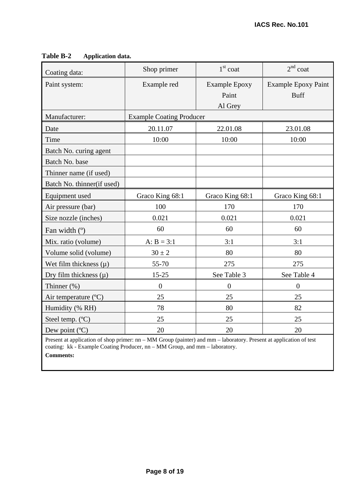| Coating data:                 | Shop primer      | $1st$ coat                               | $2nd$ coat                                |  |  |  |
|-------------------------------|------------------|------------------------------------------|-------------------------------------------|--|--|--|
| Paint system:                 | Example red      | <b>Example Epoxy</b><br>Paint<br>Al Grey | <b>Example Epoxy Paint</b><br><b>Buff</b> |  |  |  |
| Manufacturer:                 |                  | <b>Example Coating Producer</b>          |                                           |  |  |  |
| Date                          | 20.11.07         | 22.01.08                                 | 23.01.08                                  |  |  |  |
| Time                          | 10:00            | 10:00                                    | 10:00                                     |  |  |  |
| Batch No. curing agent        |                  |                                          |                                           |  |  |  |
| Batch No. base                |                  |                                          |                                           |  |  |  |
| Thinner name (if used)        |                  |                                          |                                           |  |  |  |
| Batch No. thinner(if used)    |                  |                                          |                                           |  |  |  |
| Equipment used                | Graco King 68:1  | Graco King 68:1                          | Graco King 68:1                           |  |  |  |
| Air pressure (bar)            | 100              | 170                                      | 170                                       |  |  |  |
| Size nozzle (inches)          | 0.021            | 0.021                                    | 0.021                                     |  |  |  |
| Fan width (°)                 | 60               | 60                                       | 60                                        |  |  |  |
| Mix. ratio (volume)           | $A: B = 3:1$     | 3:1                                      | 3:1                                       |  |  |  |
| Volume solid (volume)         | $30 \pm 2$       | 80                                       | 80                                        |  |  |  |
| Wet film thickness $(\mu)$    | 55-70            | 275                                      | 275                                       |  |  |  |
| Dry film thickness $(\mu)$    | $15 - 25$        | See Table 3                              | See Table 4                               |  |  |  |
| Thinner (%)                   | $\boldsymbol{0}$ | $\boldsymbol{0}$                         | $\overline{0}$                            |  |  |  |
| Air temperature $(^{\circ}C)$ | 25               | 25                                       | 25                                        |  |  |  |
| Humidity (% RH)               | 78               | 80                                       | 82                                        |  |  |  |
| Steel temp. (°C)              | 25               | 25                                       | 25                                        |  |  |  |
| Dew point (°C)                | 20               | 20                                       | 20                                        |  |  |  |

#### **Table B-2 Application data.**

Present at application of shop primer: nn – MM Group (painter) and mm – laboratory. Present at application of test coating: kk - Example Coating Producer, nn – MM Group, and mm – laboratory.

**Comments:**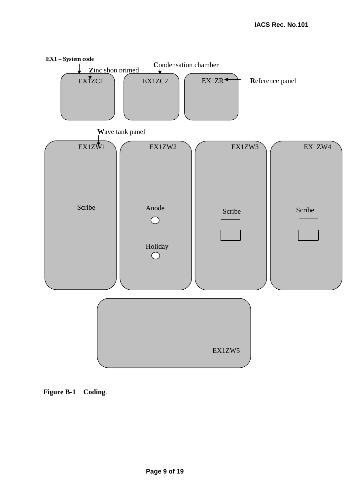

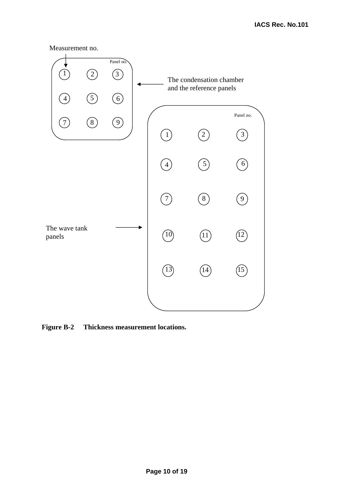



**Figure B-2 Thickness measurement locations.**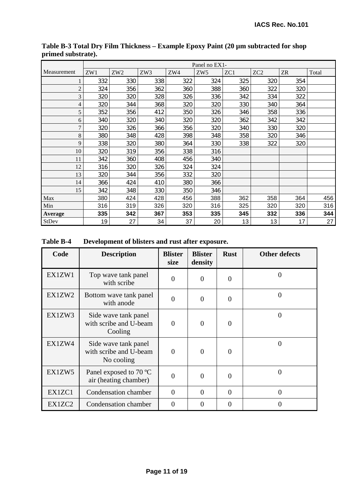|                | Panel no EX1- |                 |     |     |                 |     |                 |           |       |
|----------------|---------------|-----------------|-----|-----|-----------------|-----|-----------------|-----------|-------|
| Measurement    | ZW1           | ZW <sub>2</sub> | ZW3 | ZW4 | ZW <sub>5</sub> | ZC1 | ZC <sub>2</sub> | <b>ZR</b> | Total |
|                | 332           | 330             | 338 | 322 | 324             | 325 | 320             | 354       |       |
| $\overline{c}$ | 324           | 356             | 362 | 360 | 388             | 360 | 322             | 320       |       |
| 3              | 320           | 320             | 328 | 326 | 336             | 342 | 334             | 322       |       |
| 4              | 320           | 344             | 368 | 320 | 320             | 330 | 340             | 364       |       |
| 5              | 352           | 356             | 412 | 350 | 326             | 346 | 358             | 336       |       |
| 6              | 340           | 320             | 340 | 320 | 320             | 362 | 342             | 342       |       |
| 7              | 320           | 326             | 366 | 356 | 320             | 340 | 330             | 320       |       |
| 8              | 380           | 348             | 428 | 398 | 348             | 358 | 320             | 346       |       |
| 9              | 338           | 320             | 380 | 364 | 330             | 338 | 322             | 320       |       |
| 10             | 320           | 319             | 356 | 338 | 316             |     |                 |           |       |
| 11             | 342           | 360             | 408 | 456 | 340             |     |                 |           |       |
| 12             | 316           | 320             | 326 | 324 | 324             |     |                 |           |       |
| 13             | 320           | 344             | 356 | 332 | 320             |     |                 |           |       |
| 14             | 366           | 424             | 410 | 380 | 366             |     |                 |           |       |
| 15             | 342           | 348             | 330 | 350 | 346             |     |                 |           |       |
| Max            | 380           | 424             | 428 | 456 | 388             | 362 | 358             | 364       | 456   |
| Min            | 316           | 319             | 326 | 320 | 316             | 325 | 320             | 320       | 316   |
| Average        | 335           | 342             | 367 | 353 | 335             | 345 | 332             | 336       | 344   |
| StDev          | 19            | 27              | 34  | 37  | 20              | 13  | 13              | 17        | 27    |

**Table B-3 Total Dry Film Thickness – Example Epoxy Paint (20 µm subtracted for shop primed substrate).** 

**Table B-4 Development of blisters and rust after exposure.** 

| Code   | <b>Description</b>                                           | <b>Blister</b><br>size | <b>Blister</b><br>density | <b>Rust</b> | <b>Other defects</b> |
|--------|--------------------------------------------------------------|------------------------|---------------------------|-------------|----------------------|
| EX1ZW1 | Top wave tank panel<br>with scribe                           | $\theta$               | $\Omega$                  | 0           | $\theta$             |
| EX1ZW2 | Bottom wave tank panel<br>with anode                         | $\theta$               | $\theta$                  | 0           | $\overline{0}$       |
| EX1ZW3 | Side wave tank panel<br>with scribe and U-beam<br>Cooling    | $\theta$               | $\theta$                  | 0           | 0                    |
| EX1ZW4 | Side wave tank panel<br>with scribe and U-beam<br>No cooling | $\overline{0}$         | $\theta$                  | 0           | $\theta$             |
| EX1ZW5 | Panel exposed to 70 °C<br>air (heating chamber)              | $\Omega$               | $\Omega$                  | $\Omega$    | 0                    |
| EX1ZC1 | Condensation chamber                                         | $\Omega$               | $\Omega$                  | $\Omega$    | $\theta$             |
| EX1ZC2 | Condensation chamber                                         | $\theta$               | $\Omega$                  | 0           | 0                    |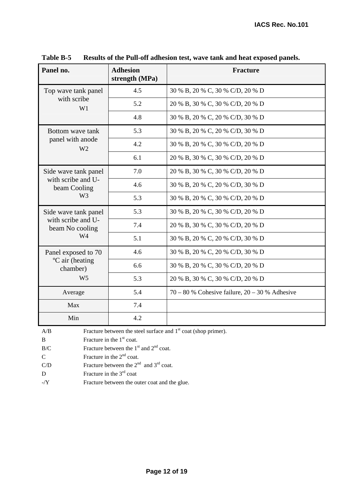| Panel no.                               | <b>Adhesion</b><br>strength (MPa) | Fracture                                           |
|-----------------------------------------|-----------------------------------|----------------------------------------------------|
| Top wave tank panel                     | 4.5                               | 30 % B, 20 % C, 30 % C/D, 20 % D                   |
| with scribe<br>W1                       | 5.2                               | 20 % B, 30 % C, 30 % C/D, 20 % D                   |
|                                         | 4.8                               | 30 % B, 20 % C, 20 % C/D, 30 % D                   |
| Bottom wave tank                        | 5.3                               | 30 % B, 20 % C, 20 % C/D, 30 % D                   |
| panel with anode<br>W <sub>2</sub>      | 4.2                               | 30 % B, 20 % C, 30 % C/D, 20 % D                   |
|                                         | 6.1                               | 20 % B, 30 % C, 30 % C/D, 20 % D                   |
| Side wave tank panel                    | 7.0                               | 20 % B, 30 % C, 30 % C/D, 20 % D                   |
| with scribe and U-<br>beam Cooling      | 4.6                               | 30 % B, 20 % C, 20 % C/D, 30 % D                   |
| W <sub>3</sub>                          | 5.3                               | 30 % B, 20 % C, 30 % C/D, 20 % D                   |
| Side wave tank panel                    | 5.3                               | 30 % B, 20 % C, 30 % C/D, 20 % D                   |
| with scribe and U-<br>beam No cooling   | 7.4                               | 20 % B, 30 % C, 30 % C/D, 20 % D                   |
| W4                                      | 5.1                               | 30 % B, 20 % C, 20 % C/D, 30 % D                   |
| Panel exposed to 70                     | 4.6                               | 30 % B, 20 % C, 20 % C/D, 30 % D                   |
| <sup>o</sup> C air (heating<br>chamber) | 6.6                               | 30 % B, 20 % C, 30 % C/D, 20 % D                   |
| W <sub>5</sub>                          | 5.3                               | 20 % B, 30 % C, 30 % C/D, 20 % D                   |
| Average                                 | 5.4                               | $70 - 80$ % Cohesive failure, $20 - 30$ % Adhesive |
| Max                                     | 7.4                               |                                                    |
| Min                                     | 4.2                               |                                                    |

**Table B-5 Results of the Pull-off adhesion test, wave tank and heat exposed panels.** 

 $A/B$  Fracture between the steel surface and  $1<sup>st</sup>$  coat (shop primer).

B Fracture in the 1<sup>st</sup> coat.

 $B/C$  Fracture between the 1<sup>st</sup> and 2<sup>nd</sup> coat.

C Fracture in the  $2<sup>nd</sup>$  coat.

C/D Fracture between the  $2<sup>nd</sup>$  and  $3<sup>rd</sup>$  coat.

D Fracture in the  $3<sup>rd</sup>$  coat

-/Y Fracture between the outer coat and the glue.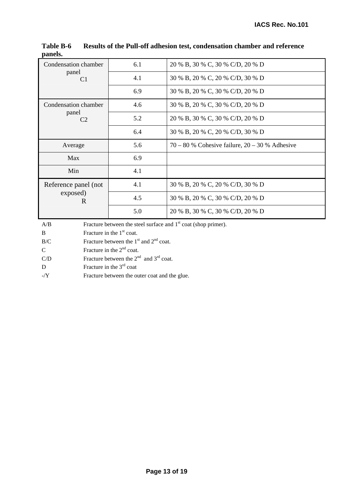| Condensation chamber | 6.1 | 20 % B, 30 % C, 30 % C/D, 20 % D                   |
|----------------------|-----|----------------------------------------------------|
| panel<br>C1          | 4.1 | 30 % B, 20 % C, 20 % C/D, 30 % D                   |
|                      | 6.9 | 30 % B, 20 % C, 30 % C/D, 20 % D                   |
| Condensation chamber | 4.6 | 30 % B, 20 % C, 30 % C/D, 20 % D                   |
| panel<br>C2          | 5.2 | 20 % B, 30 % C, 30 % C/D, 20 % D                   |
|                      | 6.4 | 30 % B, 20 % C, 20 % C/D, 30 % D                   |
|                      |     |                                                    |
| Average              | 5.6 | $70 - 80$ % Cohesive failure, $20 - 30$ % Adhesive |
| Max                  | 6.9 |                                                    |
| Min                  | 4.1 |                                                    |
| Reference panel (not | 4.1 | 30 % B, 20 % C, 20 % C/D, 30 % D                   |
| exposed)<br>R        | 4.5 | 30 % B, 20 % C, 30 % C/D, 20 % D                   |

**Table B-6 Results of the Pull-off adhesion test, condensation chamber and reference panels.** 

A/B Fracture between the steel surface and 1<sup>st</sup> coat (shop primer).

B Fracture in the 1<sup>st</sup> coat.

 $B/C$  Fracture between the 1<sup>st</sup> and 2<sup>nd</sup> coat.

C Fracture in the  $2<sup>nd</sup>$  coat.

C/D Fracture between the  $2<sup>nd</sup>$  and  $3<sup>rd</sup>$  coat.

D Fracture in the 3<sup>rd</sup> coat

-/Y Fracture between the outer coat and the glue.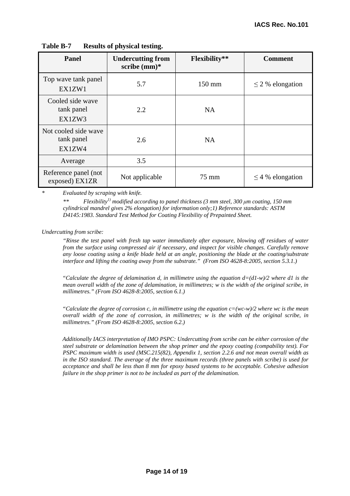| Panel                                        | <b>Undercutting from</b><br>scribe $(mm)*$ | <b>Flexibility**</b> | <b>Comment</b>        |
|----------------------------------------------|--------------------------------------------|----------------------|-----------------------|
| Top wave tank panel<br>EX1ZW1                | 5.7                                        | $150 \text{ mm}$     | $\leq$ 2 % elongation |
| Cooled side wave<br>tank panel<br>EX1ZW3     | 2.2                                        | <b>NA</b>            |                       |
| Not cooled side wave<br>tank panel<br>EX1ZW4 | 2.6                                        | <b>NA</b>            |                       |
| Average                                      | 3.5                                        |                      |                       |
| Reference panel (not<br>exposed) EX1ZR       | Not applicable                             | 75 mm                | $\leq$ 4 % elongation |

**Table B-7 Results of physical testing.** 

*\* Evaluated by scraping with knife.* 

*Flexibility<sup>1)</sup> modified according to panel thickness (3 mm steel, 300 μm coating, 150 mm cylindrical mandrel gives 2% elongation) for information only;1) Reference standards: ASTM D4145:1983. Standard Test Method for Coating Flexibility of Prepainted Sheet.* 

#### *Undercutting from scribe:*

 *"Rinse the test panel with fresh tap water immediately after exposure, blowing off residues of water from the surface using compressed air if necessary, and inspect for visible changes. Carefully remove any loose coating using a knife blade held at an angle, positioning the blade at the coating/substrate interface and lifting the coating away from the substrate." (From ISO 4628-8:2005, section 5.3.1.)* 

*"Calculate the degree of delamination d, in millimetre using the equation d=(d1-w)/2 where d1 is the mean overall width of the zone of delamination, in millimetres; w is the width of the original scribe, in millimetres." (From ISO 4628-8:2005, section 6.1.)* 

*"Calculate the degree of corrosion c, in millimetre using the equation c=(wc-w)/2 where wc is the mean overall width of the zone of corrosion, in millimetres; w is the width of the original scribe, in millimetres." (From ISO 4628-8:2005, section 6.2.)* 

*Additionally IACS interpretation of IMO PSPC: Undercutting from scribe can be either corrosion of the steel substrate or delamination between the shop primer and the epoxy coating (compability test). For PSPC maximum width is used (MSC.215(82), Appendix 1, section 2.2.6 and not mean overall width as in the ISO standard. The average of the three maximum records (three panels with scribe) is used for acceptance and shall be less than 8 mm for epoxy based systems to be acceptable. Cohesive adhesion failure in the shop primer is not to be included as part of the delamination.*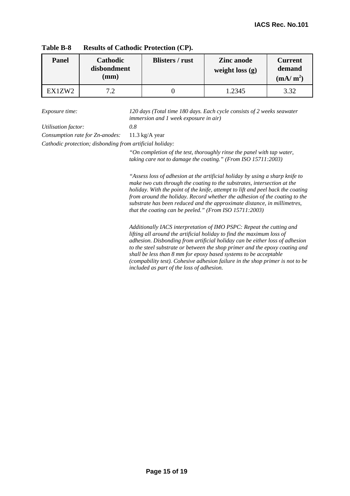| <b>Panel</b> | <b>Cathodic</b><br>disbondment<br>$(\mathbf{mm})$ | <b>Blisters / rust</b> | <b>Zinc</b> anode<br>weight loss $(g)$ | <b>Current</b><br>demand<br>(mA/m <sup>2</sup> ) |
|--------------|---------------------------------------------------|------------------------|----------------------------------------|--------------------------------------------------|
| EX1ZW2       | 70                                                |                        | .2345                                  | 3.32                                             |

**Table B-8 Results of Cathodic Protection (CP).** 

*Exposure time: 120 days (Total time 180 days. Each cycle consists of 2 weeks seawater immersion and 1 week exposure in air)* 

*Utilisation factor: 0.8* 

*Consumption rate for Zn-anodes:* 11.3 kg/A year

*Cathodic protection; disbonding from artificial holiday:* 

*"On completion of the test, thoroughly rinse the panel with tap water, taking care not to damage the coating." (From ISO 15711:2003)* 

*"Assess loss of adhesion at the artificial holiday by using a sharp knife to make two cuts through the coating to the substrates, intersection at the holiday. With the point of the knife, attempt to lift and peel back the coating from around the holiday. Record whether the adhesion of the coating to the substrate has been reduced and the approximate distance, in millimetres, that the coating can be peeled." (From ISO 15711:2003)* 

*Additionally IACS interpretation of IMO PSPC: Repeat the cutting and lifting all around the artificial holiday to find the maximum loss of adhesion. Disbonding from artificial holiday can be either loss of adhesion to the steel substrate or between the shop primer and the epoxy coating and shall be less than 8 mm for epoxy based systems to be acceptable (compability test). Cohesive adhesion failure in the shop primer is not to be included as part of the loss of adhesion.*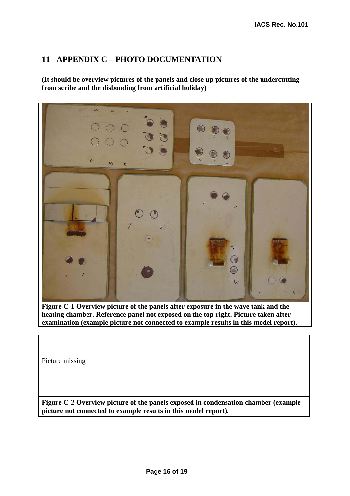# **11 APPENDIX C – PHOTO DOCUMENTATION**

**(It should be overview pictures of the panels and close up pictures of the undercutting from scribe and the disbonding from artificial holiday)** 



**Figure C-1 Overview picture of the panels after exposure in the wave tank and the heating chamber. Reference panel not exposed on the top right. Picture taken after examination (example picture not connected to example results in this model report).** 

Picture missing

**Figure C-2 Overview picture of the panels exposed in condensation chamber (example picture not connected to example results in this model report).**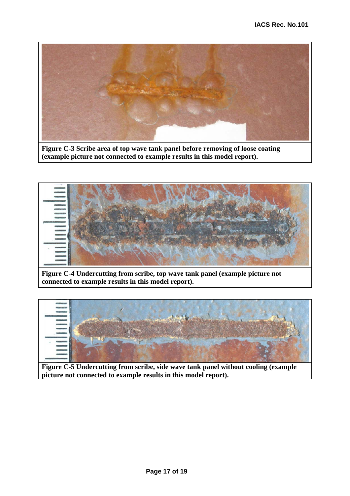

**Figure C-3 Scribe area of top wave tank panel before removing of loose coating (example picture not connected to example results in this model report).**



**Figure C-4 Undercutting from scribe, top wave tank panel (example picture not connected to example results in this model report).**



**Figure C-5 Undercutting from scribe, side wave tank panel without cooling (example picture not connected to example results in this model report).**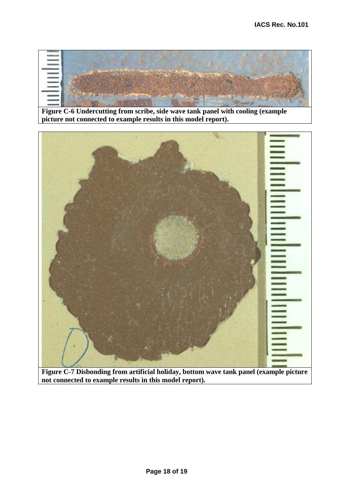

**Figure C-6 Undercutting from scribe, side wave tank panel with cooling (example picture not connected to example results in this model report).** 



**Figure C-7 Disbonding from artificial holiday, bottom wave tank panel (example picture not connected to example results in this model report).**